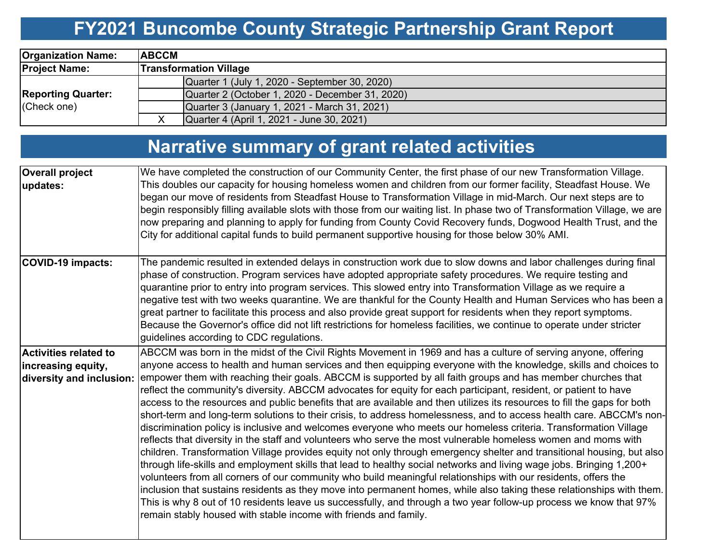# **FY2021 Buncombe County Strategic Partnership Grant Report**

| <b>Organization Name:</b>                | <b>ABCCM</b> |                                                 |  |  |  |  |
|------------------------------------------|--------------|-------------------------------------------------|--|--|--|--|
| <b>Project Name:</b>                     |              | <b>Transformation Village</b>                   |  |  |  |  |
|                                          |              | Quarter 1 (July 1, 2020 - September 30, 2020)   |  |  |  |  |
| <b>Reporting Quarter:</b><br>(Check one) |              | Quarter 2 (October 1, 2020 - December 31, 2020) |  |  |  |  |
|                                          |              | Quarter 3 (January 1, 2021 - March 31, 2021)    |  |  |  |  |
|                                          |              | Quarter 4 (April 1, 2021 - June 30, 2021)       |  |  |  |  |

# **Narrative summary of grant related activities**

| <b>Overall project</b><br>updates:                                             | We have completed the construction of our Community Center, the first phase of our new Transformation Village.<br>This doubles our capacity for housing homeless women and children from our former facility, Steadfast House. We<br>began our move of residents from Steadfast House to Transformation Village in mid-March. Our next steps are to<br>begin responsibly filling available slots with those from our waiting list. In phase two of Transformation Village, we are<br>now preparing and planning to apply for funding from County Covid Recovery funds, Dogwood Health Trust, and the<br>City for additional capital funds to build permanent supportive housing for those below 30% AMI.                                                                                                                                                                                                                                                                                                                                                                                                                                                                                                                                                                                                                                                                                                                                                                                                                                                                                                                                               |
|--------------------------------------------------------------------------------|--------------------------------------------------------------------------------------------------------------------------------------------------------------------------------------------------------------------------------------------------------------------------------------------------------------------------------------------------------------------------------------------------------------------------------------------------------------------------------------------------------------------------------------------------------------------------------------------------------------------------------------------------------------------------------------------------------------------------------------------------------------------------------------------------------------------------------------------------------------------------------------------------------------------------------------------------------------------------------------------------------------------------------------------------------------------------------------------------------------------------------------------------------------------------------------------------------------------------------------------------------------------------------------------------------------------------------------------------------------------------------------------------------------------------------------------------------------------------------------------------------------------------------------------------------------------------------------------------------------------------------------------------------|
| <b>COVID-19 impacts:</b>                                                       | The pandemic resulted in extended delays in construction work due to slow downs and labor challenges during final<br>phase of construction. Program services have adopted appropriate safety procedures. We require testing and<br>quarantine prior to entry into program services. This slowed entry into Transformation Village as we require a<br>negative test with two weeks quarantine. We are thankful for the County Health and Human Services who has been a<br>great partner to facilitate this process and also provide great support for residents when they report symptoms.<br>Because the Governor's office did not lift restrictions for homeless facilities, we continue to operate under stricter<br>guidelines according to CDC regulations.                                                                                                                                                                                                                                                                                                                                                                                                                                                                                                                                                                                                                                                                                                                                                                                                                                                                                        |
| <b>Activities related to</b><br>increasing equity,<br>diversity and inclusion: | ABCCM was born in the midst of the Civil Rights Movement in 1969 and has a culture of serving anyone, offering<br>anyone access to health and human services and then equipping everyone with the knowledge, skills and choices to<br>empower them with reaching their goals. ABCCM is supported by all faith groups and has member churches that<br>reflect the community's diversity. ABCCM advocates for equity for each participant, resident, or patient to have<br>access to the resources and public benefits that are available and then utilizes its resources to fill the gaps for both<br>short-term and long-term solutions to their crisis, to address homelessness, and to access health care. ABCCM's non-<br>discrimination policy is inclusive and welcomes everyone who meets our homeless criteria. Transformation Village<br>reflects that diversity in the staff and volunteers who serve the most vulnerable homeless women and moms with<br>children. Transformation Village provides equity not only through emergency shelter and transitional housing, but also<br>through life-skills and employment skills that lead to healthy social networks and living wage jobs. Bringing 1,200+<br>volunteers from all corners of our community who build meaningful relationships with our residents, offers the<br>inclusion that sustains residents as they move into permanent homes, while also taking these relationships with them.<br>This is why 8 out of 10 residents leave us successfully, and through a two year follow-up process we know that 97%<br>remain stably housed with stable income with friends and family. |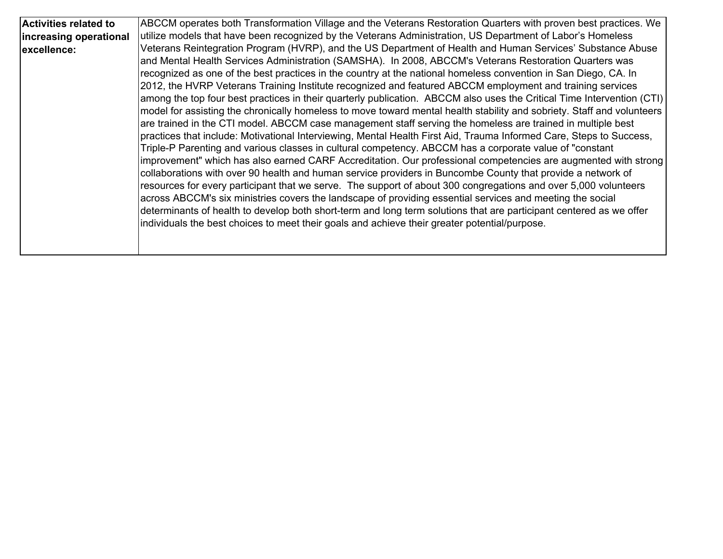| <b>Activities related to</b> | ABCCM operates both Transformation Village and the Veterans Restoration Quarters with proven best practices. We        |
|------------------------------|------------------------------------------------------------------------------------------------------------------------|
| increasing operational       | utilize models that have been recognized by the Veterans Administration, US Department of Labor's Homeless             |
| excellence:                  | Veterans Reintegration Program (HVRP), and the US Department of Health and Human Services' Substance Abuse             |
|                              | and Mental Health Services Administration (SAMSHA). In 2008, ABCCM's Veterans Restoration Quarters was                 |
|                              | recognized as one of the best practices in the country at the national homeless convention in San Diego, CA. In        |
|                              | 2012, the HVRP Veterans Training Institute recognized and featured ABCCM employment and training services              |
|                              | among the top four best practices in their quarterly publication. ABCCM also uses the Critical Time Intervention (CTI) |
|                              | model for assisting the chronically homeless to move toward mental health stability and sobriety. Staff and volunteers |
|                              | are trained in the CTI model. ABCCM case management staff serving the homeless are trained in multiple best            |
|                              | practices that include: Motivational Interviewing, Mental Health First Aid, Trauma Informed Care, Steps to Success,    |
|                              | Triple-P Parenting and various classes in cultural competency. ABCCM has a corporate value of "constant                |
|                              | improvement" which has also earned CARF Accreditation. Our professional competencies are augmented with strong         |
|                              | collaborations with over 90 health and human service providers in Buncombe County that provide a network of            |
|                              | resources for every participant that we serve. The support of about 300 congregations and over 5,000 volunteers        |
|                              | across ABCCM's six ministries covers the landscape of providing essential services and meeting the social              |
|                              | determinants of health to develop both short-term and long term solutions that are participant centered as we offer    |
|                              | individuals the best choices to meet their goals and achieve their greater potential/purpose.                          |
|                              |                                                                                                                        |
|                              |                                                                                                                        |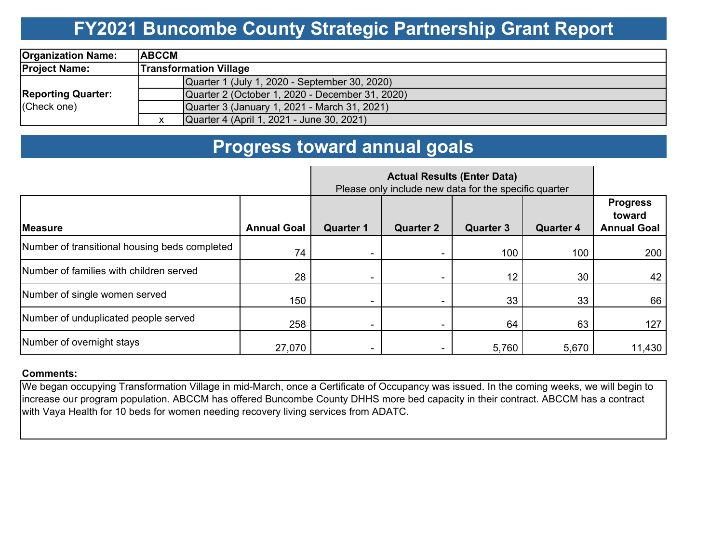## **FY2021 Buncombe County Strategic Partnership Grant Report**

| <b>Organization Name:</b>                | <b>IABCCM</b>                                   |  |  |  |  |
|------------------------------------------|-------------------------------------------------|--|--|--|--|
| <b>Project Name:</b>                     | <b>Transformation Village</b>                   |  |  |  |  |
| <b>Reporting Quarter:</b><br>(Check one) | Quarter 1 (July 1, 2020 - September 30, 2020)   |  |  |  |  |
|                                          | Quarter 2 (October 1, 2020 - December 31, 2020) |  |  |  |  |
|                                          | Quarter 3 (January 1, 2021 - March 31, 2021)    |  |  |  |  |
|                                          | Quarter 4 (April 1, 2021 - June 30, 2021)       |  |  |  |  |

### **Progress toward annual goals**

|                                               | Please only include new data for the specific quarter |                  |                  |                  |                  |                                                 |
|-----------------------------------------------|-------------------------------------------------------|------------------|------------------|------------------|------------------|-------------------------------------------------|
| <b>Measure</b>                                | <b>Annual Goal</b>                                    | <b>Quarter 1</b> | <b>Quarter 2</b> | <b>Quarter 3</b> | <b>Quarter 4</b> | <b>Progress</b><br>toward<br><b>Annual Goal</b> |
| Number of transitional housing beds completed | 74                                                    |                  |                  | 100              | 100              | 200                                             |
| Number of families with children served       | 28                                                    |                  |                  | 12               | 30               | 42                                              |
| Number of single women served                 | 150                                                   |                  |                  | 33               | 33               | 66                                              |
| Number of unduplicated people served          | 258                                                   |                  |                  | 64               | 63               | 127                                             |
| Number of overnight stays                     | 27,070                                                |                  |                  | 5,760            | 5,670            | 11,430                                          |

#### **Comments:**

We began occupying Transformation Village in mid-March, once a Certificate of Occupancy was issued. In the coming weeks, we will begin to increase our program population. ABCCM has offered Buncombe County DHHS more bed capacity in their contract. ABCCM has a contract with Vaya Health for 10 beds for women needing recovery living services from ADATC.